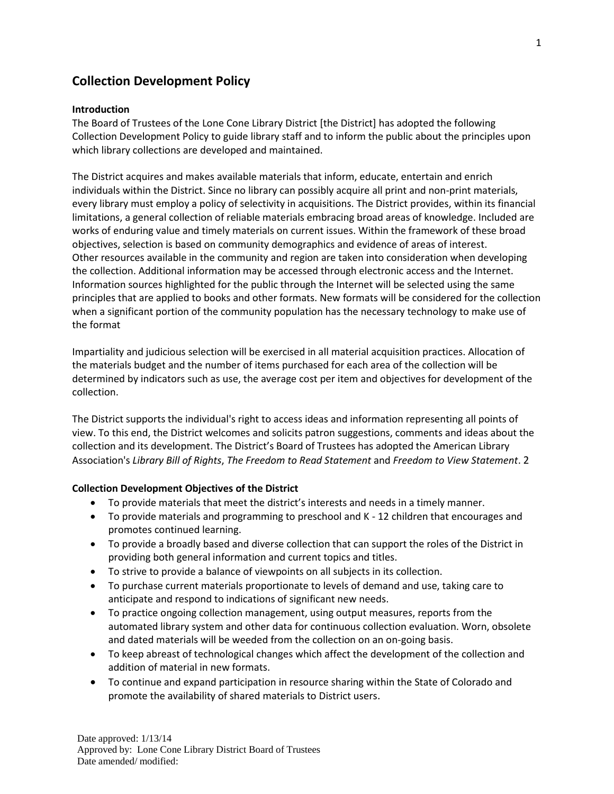## **Collection Development Policy**

## **Introduction**

The Board of Trustees of the Lone Cone Library District [the District] has adopted the following Collection Development Policy to guide library staff and to inform the public about the principles upon which library collections are developed and maintained.

The District acquires and makes available materials that inform, educate, entertain and enrich individuals within the District. Since no library can possibly acquire all print and non-print materials, every library must employ a policy of selectivity in acquisitions. The District provides, within its financial limitations, a general collection of reliable materials embracing broad areas of knowledge. Included are works of enduring value and timely materials on current issues. Within the framework of these broad objectives, selection is based on community demographics and evidence of areas of interest. Other resources available in the community and region are taken into consideration when developing the collection. Additional information may be accessed through electronic access and the Internet. Information sources highlighted for the public through the Internet will be selected using the same principles that are applied to books and other formats. New formats will be considered for the collection when a significant portion of the community population has the necessary technology to make use of the format

Impartiality and judicious selection will be exercised in all material acquisition practices. Allocation of the materials budget and the number of items purchased for each area of the collection will be determined by indicators such as use, the average cost per item and objectives for development of the collection.

The District supports the individual's right to access ideas and information representing all points of view. To this end, the District welcomes and solicits patron suggestions, comments and ideas about the collection and its development. The District's Board of Trustees has adopted the American Library Association's *Library Bill of Rights*, *The Freedom to Read Statement* and *Freedom to View Statement*. 2

## **Collection Development Objectives of the District**

- To provide materials that meet the district's interests and needs in a timely manner.
- To provide materials and programming to preschool and K 12 children that encourages and promotes continued learning.
- To provide a broadly based and diverse collection that can support the roles of the District in providing both general information and current topics and titles.
- To strive to provide a balance of viewpoints on all subjects in its collection.
- To purchase current materials proportionate to levels of demand and use, taking care to anticipate and respond to indications of significant new needs.
- To practice ongoing collection management, using output measures, reports from the automated library system and other data for continuous collection evaluation. Worn, obsolete and dated materials will be weeded from the collection on an on-going basis.
- To keep abreast of technological changes which affect the development of the collection and addition of material in new formats.
- To continue and expand participation in resource sharing within the State of Colorado and promote the availability of shared materials to District users.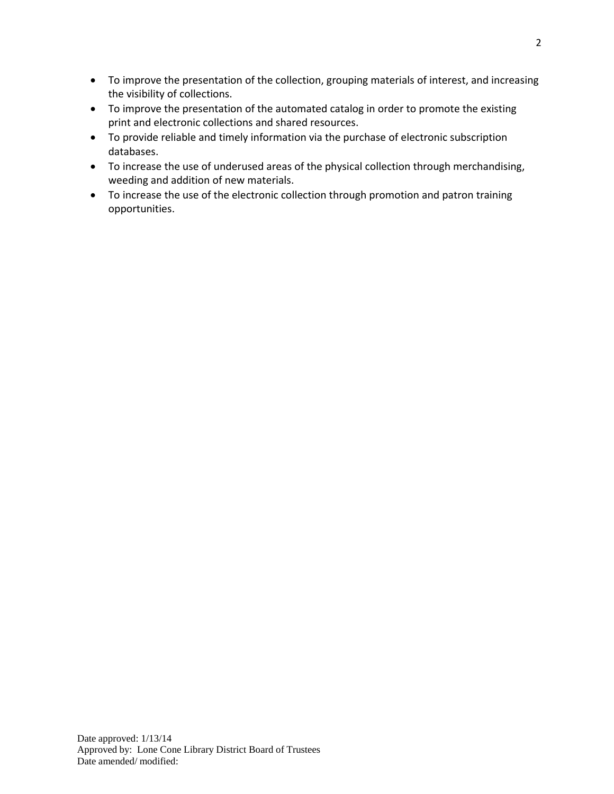- To improve the presentation of the collection, grouping materials of interest, and increasing the visibility of collections.
- To improve the presentation of the automated catalog in order to promote the existing print and electronic collections and shared resources.
- To provide reliable and timely information via the purchase of electronic subscription databases.
- To increase the use of underused areas of the physical collection through merchandising, weeding and addition of new materials.
- To increase the use of the electronic collection through promotion and patron training opportunities.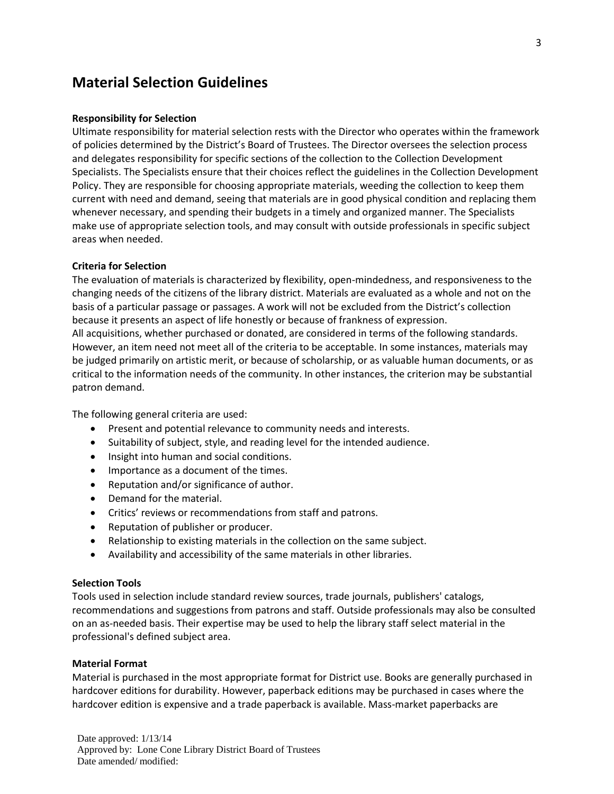# **Material Selection Guidelines**

#### **Responsibility for Selection**

Ultimate responsibility for material selection rests with the Director who operates within the framework of policies determined by the District's Board of Trustees. The Director oversees the selection process and delegates responsibility for specific sections of the collection to the Collection Development Specialists. The Specialists ensure that their choices reflect the guidelines in the Collection Development Policy. They are responsible for choosing appropriate materials, weeding the collection to keep them current with need and demand, seeing that materials are in good physical condition and replacing them whenever necessary, and spending their budgets in a timely and organized manner. The Specialists make use of appropriate selection tools, and may consult with outside professionals in specific subject areas when needed.

#### **Criteria for Selection**

The evaluation of materials is characterized by flexibility, open-mindedness, and responsiveness to the changing needs of the citizens of the library district. Materials are evaluated as a whole and not on the basis of a particular passage or passages. A work will not be excluded from the District's collection because it presents an aspect of life honestly or because of frankness of expression. All acquisitions, whether purchased or donated, are considered in terms of the following standards. However, an item need not meet all of the criteria to be acceptable. In some instances, materials may be judged primarily on artistic merit, or because of scholarship, or as valuable human documents, or as critical to the information needs of the community. In other instances, the criterion may be substantial patron demand.

The following general criteria are used:

- Present and potential relevance to community needs and interests.
- Suitability of subject, style, and reading level for the intended audience.
- Insight into human and social conditions.
- Importance as a document of the times.
- Reputation and/or significance of author.
- Demand for the material.
- Critics' reviews or recommendations from staff and patrons.
- Reputation of publisher or producer.
- Relationship to existing materials in the collection on the same subject.
- Availability and accessibility of the same materials in other libraries.

#### **Selection Tools**

Tools used in selection include standard review sources, trade journals, publishers' catalogs, recommendations and suggestions from patrons and staff. Outside professionals may also be consulted on an as-needed basis. Their expertise may be used to help the library staff select material in the professional's defined subject area.

#### **Material Format**

Material is purchased in the most appropriate format for District use. Books are generally purchased in hardcover editions for durability. However, paperback editions may be purchased in cases where the hardcover edition is expensive and a trade paperback is available. Mass-market paperbacks are

Date approved: 1/13/14 Approved by: Lone Cone Library District Board of Trustees Date amended/ modified: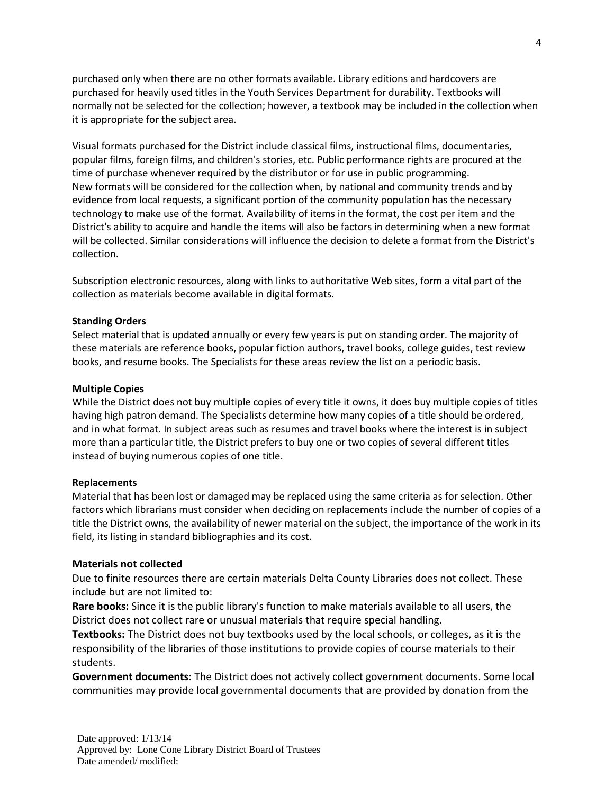purchased only when there are no other formats available. Library editions and hardcovers are purchased for heavily used titles in the Youth Services Department for durability. Textbooks will normally not be selected for the collection; however, a textbook may be included in the collection when it is appropriate for the subject area.

Visual formats purchased for the District include classical films, instructional films, documentaries, popular films, foreign films, and children's stories, etc. Public performance rights are procured at the time of purchase whenever required by the distributor or for use in public programming. New formats will be considered for the collection when, by national and community trends and by evidence from local requests, a significant portion of the community population has the necessary technology to make use of the format. Availability of items in the format, the cost per item and the District's ability to acquire and handle the items will also be factors in determining when a new format will be collected. Similar considerations will influence the decision to delete a format from the District's collection.

Subscription electronic resources, along with links to authoritative Web sites, form a vital part of the collection as materials become available in digital formats.

#### **Standing Orders**

Select material that is updated annually or every few years is put on standing order. The majority of these materials are reference books, popular fiction authors, travel books, college guides, test review books, and resume books. The Specialists for these areas review the list on a periodic basis.

#### **Multiple Copies**

While the District does not buy multiple copies of every title it owns, it does buy multiple copies of titles having high patron demand. The Specialists determine how many copies of a title should be ordered, and in what format. In subject areas such as resumes and travel books where the interest is in subject more than a particular title, the District prefers to buy one or two copies of several different titles instead of buying numerous copies of one title.

#### **Replacements**

Material that has been lost or damaged may be replaced using the same criteria as for selection. Other factors which librarians must consider when deciding on replacements include the number of copies of a title the District owns, the availability of newer material on the subject, the importance of the work in its field, its listing in standard bibliographies and its cost.

#### **Materials not collected**

Due to finite resources there are certain materials Delta County Libraries does not collect. These include but are not limited to:

**Rare books:** Since it is the public library's function to make materials available to all users, the District does not collect rare or unusual materials that require special handling.

**Textbooks:** The District does not buy textbooks used by the local schools, or colleges, as it is the responsibility of the libraries of those institutions to provide copies of course materials to their students.

**Government documents:** The District does not actively collect government documents. Some local communities may provide local governmental documents that are provided by donation from the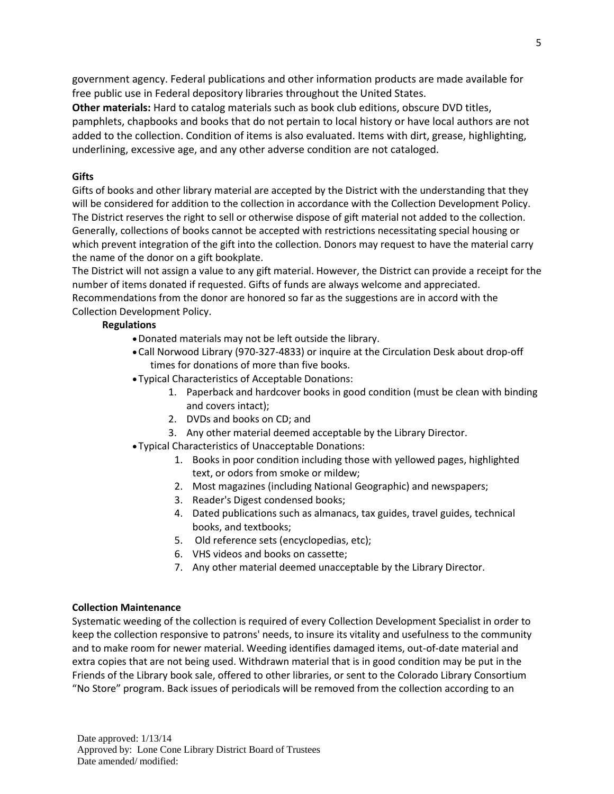government agency. Federal publications and other information products are made available for free public use in Federal depository libraries throughout the United States.

**Other materials:** Hard to catalog materials such as book club editions, obscure DVD titles, pamphlets, chapbooks and books that do not pertain to local history or have local authors are not added to the collection. Condition of items is also evaluated. Items with dirt, grease, highlighting, underlining, excessive age, and any other adverse condition are not cataloged.

## **Gifts**

Gifts of books and other library material are accepted by the District with the understanding that they will be considered for addition to the collection in accordance with the Collection Development Policy. The District reserves the right to sell or otherwise dispose of gift material not added to the collection. Generally, collections of books cannot be accepted with restrictions necessitating special housing or which prevent integration of the gift into the collection. Donors may request to have the material carry the name of the donor on a gift bookplate.

The District will not assign a value to any gift material. However, the District can provide a receipt for the number of items donated if requested. Gifts of funds are always welcome and appreciated. Recommendations from the donor are honored so far as the suggestions are in accord with the Collection Development Policy.

## **Regulations**

- Donated materials may not be left outside the library.
- Call Norwood Library (970-327-4833) or inquire at the Circulation Desk about drop-off times for donations of more than five books.
- Typical Characteristics of Acceptable Donations:
	- 1. Paperback and hardcover books in good condition (must be clean with binding and covers intact);
	- 2. DVDs and books on CD; and
	- 3. Any other material deemed acceptable by the Library Director.
- Typical Characteristics of Unacceptable Donations:
	- 1. Books in poor condition including those with yellowed pages, highlighted text, or odors from smoke or mildew;
	- 2. Most magazines (including National Geographic) and newspapers;
	- 3. Reader's Digest condensed books;
	- 4. Dated publications such as almanacs, tax guides, travel guides, technical books, and textbooks;
	- 5. Old reference sets (encyclopedias, etc);
	- 6. VHS videos and books on cassette;
	- 7. Any other material deemed unacceptable by the Library Director.

## **Collection Maintenance**

Systematic weeding of the collection is required of every Collection Development Specialist in order to keep the collection responsive to patrons' needs, to insure its vitality and usefulness to the community and to make room for newer material. Weeding identifies damaged items, out-of-date material and extra copies that are not being used. Withdrawn material that is in good condition may be put in the Friends of the Library book sale, offered to other libraries, or sent to the Colorado Library Consortium "No Store" program. Back issues of periodicals will be removed from the collection according to an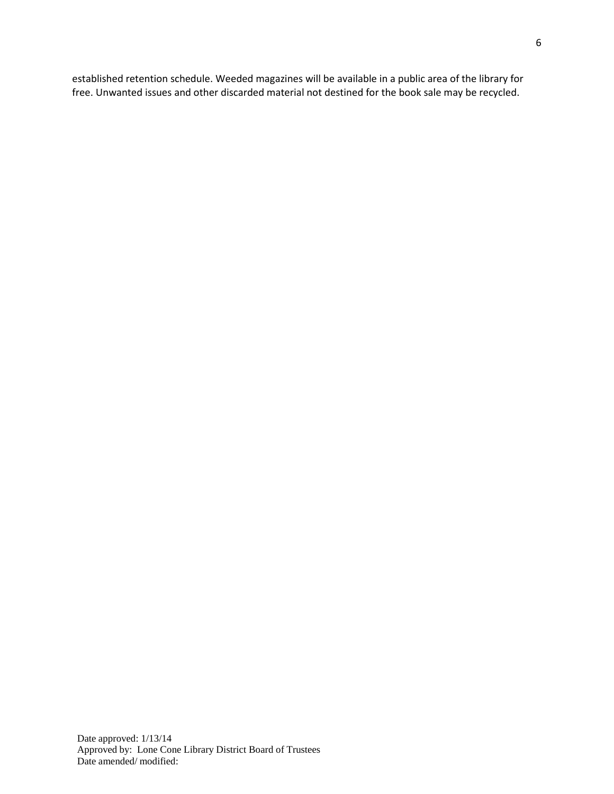established retention schedule. Weeded magazines will be available in a public area of the library for free. Unwanted issues and other discarded material not destined for the book sale may be recycled.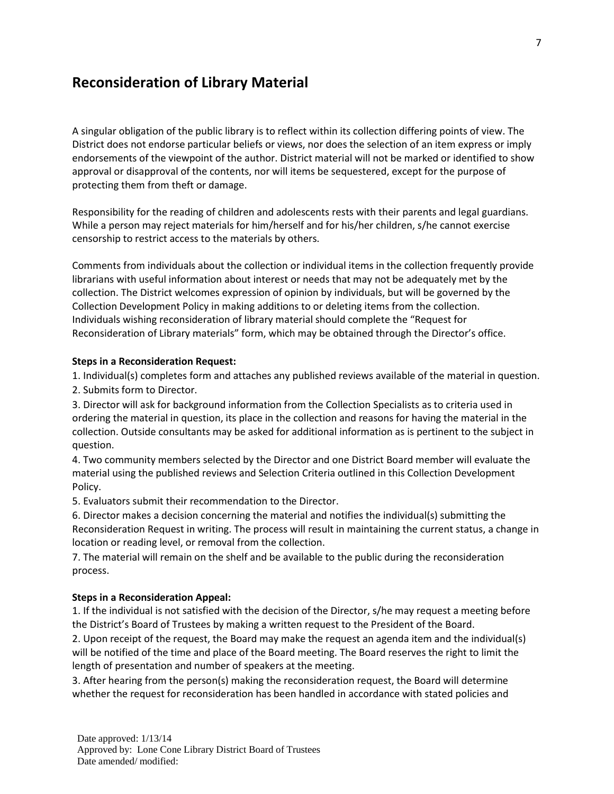# **Reconsideration of Library Material**

A singular obligation of the public library is to reflect within its collection differing points of view. The District does not endorse particular beliefs or views, nor does the selection of an item express or imply endorsements of the viewpoint of the author. District material will not be marked or identified to show approval or disapproval of the contents, nor will items be sequestered, except for the purpose of protecting them from theft or damage.

Responsibility for the reading of children and adolescents rests with their parents and legal guardians. While a person may reject materials for him/herself and for his/her children, s/he cannot exercise censorship to restrict access to the materials by others.

Comments from individuals about the collection or individual items in the collection frequently provide librarians with useful information about interest or needs that may not be adequately met by the collection. The District welcomes expression of opinion by individuals, but will be governed by the Collection Development Policy in making additions to or deleting items from the collection. Individuals wishing reconsideration of library material should complete the "Request for Reconsideration of Library materials" form, which may be obtained through the Director's office.

#### **Steps in a Reconsideration Request:**

1. Individual(s) completes form and attaches any published reviews available of the material in question.

2. Submits form to Director.

3. Director will ask for background information from the Collection Specialists as to criteria used in ordering the material in question, its place in the collection and reasons for having the material in the collection. Outside consultants may be asked for additional information as is pertinent to the subject in question.

4. Two community members selected by the Director and one District Board member will evaluate the material using the published reviews and Selection Criteria outlined in this Collection Development Policy.

5. Evaluators submit their recommendation to the Director.

6. Director makes a decision concerning the material and notifies the individual(s) submitting the Reconsideration Request in writing. The process will result in maintaining the current status, a change in location or reading level, or removal from the collection.

7. The material will remain on the shelf and be available to the public during the reconsideration process.

#### **Steps in a Reconsideration Appeal:**

1. If the individual is not satisfied with the decision of the Director, s/he may request a meeting before the District's Board of Trustees by making a written request to the President of the Board.

2. Upon receipt of the request, the Board may make the request an agenda item and the individual(s) will be notified of the time and place of the Board meeting. The Board reserves the right to limit the length of presentation and number of speakers at the meeting.

3. After hearing from the person(s) making the reconsideration request, the Board will determine whether the request for reconsideration has been handled in accordance with stated policies and